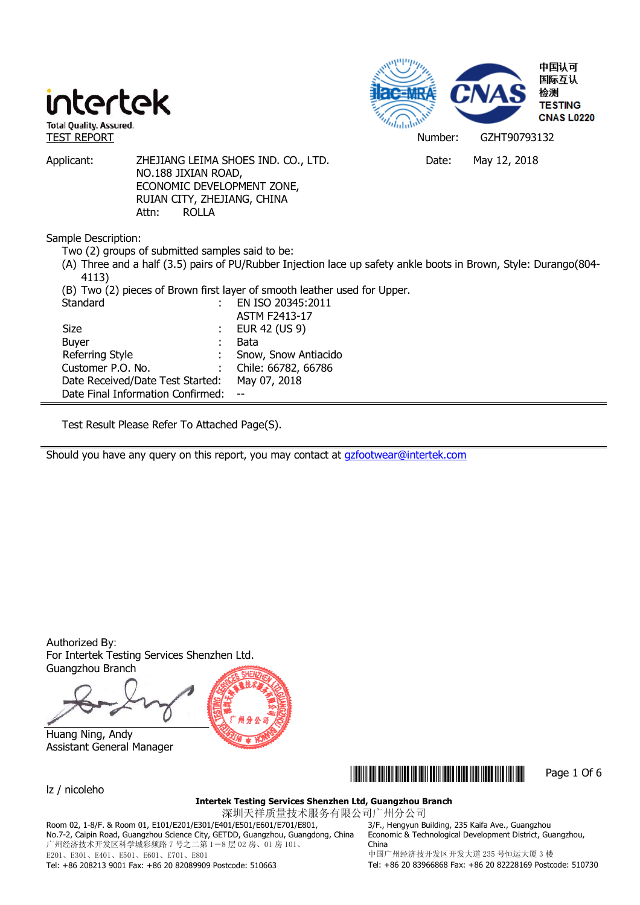

Applicant: ZHEJIANG LEIMA SHOES IND. CO., LTD. Date: May 12, 2018 NO.188 JIXIAN ROAD, ECONOMIC DEVELOPMENT ZONE, RUIAN CITY, ZHEJIANG, CHINA Attn: ROLLA

### Sample Description:

Two (2) groups of submitted samples said to be:

(A) Three and a half (3.5) pairs of PU/Rubber Injection lace up safety ankle boots in Brown, Style: Durango(804- 4113)

(B) Two (2) pieces of Brown first layer of smooth leather used for Upper.

| Standard                          |                             | EN ISO 20345:2011    |
|-----------------------------------|-----------------------------|----------------------|
|                                   |                             | <b>ASTM F2413-17</b> |
| Size                              | $\mathcal{L}^{\mathcal{L}}$ | EUR 42 (US 9)        |
| <b>Buyer</b>                      |                             | Bata                 |
| Referring Style                   |                             | Snow, Snow Antiacido |
| Customer P.O. No.                 |                             | Chile: 66782, 66786  |
| Date Received/Date Test Started:  |                             | May 07, 2018         |
| Date Final Information Confirmed: |                             | $\sim$               |

Test Result Please Refer To Attached Page(S).

Should you have any query on this report, you may contact at gzfootwear@intertek.com

Authorized By: For Intertek Testing Services Shenzhen Ltd. Guangzhou Branch

 Huang Ning, Andy Assistant General Manager



lz / nicoleho

### \*GZHT90793132\* Page 1 Of 6

**Intertek Testing Services Shenzhen Ltd, Guangzhou Branch** 

深圳天祥质量技术服务有限公司广州分公司 Room 02, 1-8/F. & Room 01, E101/E201/E301/E401/E501/E601/E701/E801, No.7-2, Caipin Road, Guangzhou Science City, GETDD, Guangzhou, Guangdong, China 广州经济技术开发区科学城彩频路 7 号之二第 1-8 层 02 房、01 房 101、 E201、E301、E401、E501、E601、E701、E801

3/F., Hengyun Building, 235 Kaifa Ave., Guangzhou Economic & Technological Development District, Guangzhou, China

Tel: +86 208213 9001 Fax: +86 20 82089909 Postcode: 510663

中国广州经济技开发区开发大道 235 号恒运大厦 3 楼 Tel: +86 20 83966868 Fax: +86 20 82228169 Postcode: 510730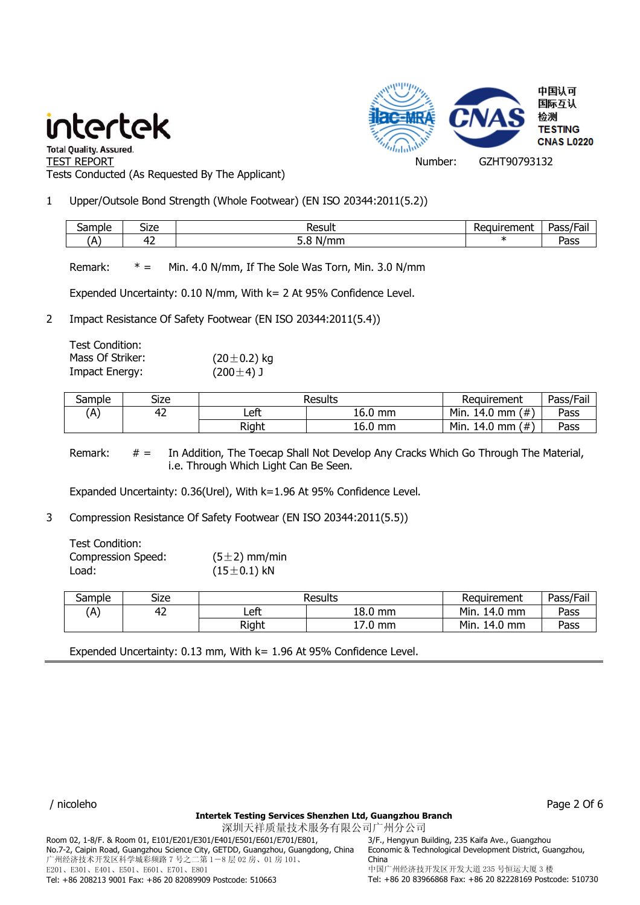

" Total Quality. Assured.<br>TEST REPORT Number: GZHT90793132 Tests Conducted (As Requested By The Applicant)

1 Upper/Outsole Bond Strength (Whole Footwear) (EN ISO 20344:2011(5.2))

| Sample     | --<br>17C<br>אוכ | יוו ומבע<br>ouu        | romani<br>ш | $\overline{\phantom{0}}$<br>$P^{\prime}$<br>aı<br>--- |
|------------|------------------|------------------------|-------------|-------------------------------------------------------|
| $\sqrt{ }$ | . .              | - Mr.<br>----<br>,,,,, |             | <u>n---</u><br>പാ                                     |

Remark:  $* =$  Min. 4.0 N/mm, If The Sole Was Torn, Min. 3.0 N/mm

Expended Uncertainty: 0.10 N/mm, With k= 2 At 95% Confidence Level.

2 Impact Resistance Of Safety Footwear (EN ISO 20344:2011(5.4))

| Test Condition:  |                   |
|------------------|-------------------|
| Mass Of Striker: | $(20 \pm 0.2)$ kg |
| Impact Energy:   | $(200\pm4)$ J     |

| Sample | Size |              | <b>Results</b> | Requirement                  | Pass/Fail |
|--------|------|--------------|----------------|------------------------------|-----------|
| (A)    | 44   | Left         | mm<br>⊥6.0 ′   | $($ #`<br>Min.<br>14.0<br>mm | Pass      |
|        |      | <b>Right</b> | mm<br>16.I     | $($ #`<br>Min.<br>14.0<br>mm | Pass      |

Remark:  $# =$  In Addition, The Toecap Shall Not Develop Any Cracks Which Go Through The Material, i.e. Through Which Light Can Be Seen.

Expanded Uncertainty: 0.36(Urel), With k=1.96 At 95% Confidence Level.

3 Compression Resistance Of Safety Footwear (EN ISO 20344:2011(5.5))

| Test Condition:    |                  |
|--------------------|------------------|
| Compression Speed: | $(5\pm2)$ mm/min |
| Load:              | $(15\pm0.1)$ kN  |

| Sample | Size | Results |            | Requirement        | Pass/Fail |
|--------|------|---------|------------|--------------------|-----------|
| A)     | TZ   | Left    | 18.0<br>mm | Min.<br>14.0<br>mm | Pass      |
|        |      | Right   | ⇁<br>mm    | Min.<br>14.0 mm    | Pass      |

Expended Uncertainty: 0.13 mm, With k= 1.96 At 95% Confidence Level.

/ nicoleho Page 2 Of 6

**Intertek Testing Services Shenzhen Ltd, Guangzhou Branch** 

深圳天祥质量技术服务有限公司广州分公司 Room 02, 1-8/F. & Room 01, E101/E201/E301/E401/E501/E601/E701/E801, No.7-2, Caipin Road, Guangzhou Science City, GETDD, Guangzhou, Guangdong, China 广州经济技术开发区科学城彩频路 7 号之二第 1-8 层 02 房、01 房 101、 E201、E301、E401、E501、E601、E701、E801 Tel: +86 208213 9001 Fax: +86 20 82089909 Postcode: 510663

3/F., Hengyun Building, 235 Kaifa Ave., Guangzhou Economic & Technological Development District, Guangzhou, China 中国广州经济技开发区开发大道 235 号恒运大厦 3 楼 Tel: +86 20 83966868 Fax: +86 20 82228169 Postcode: 510730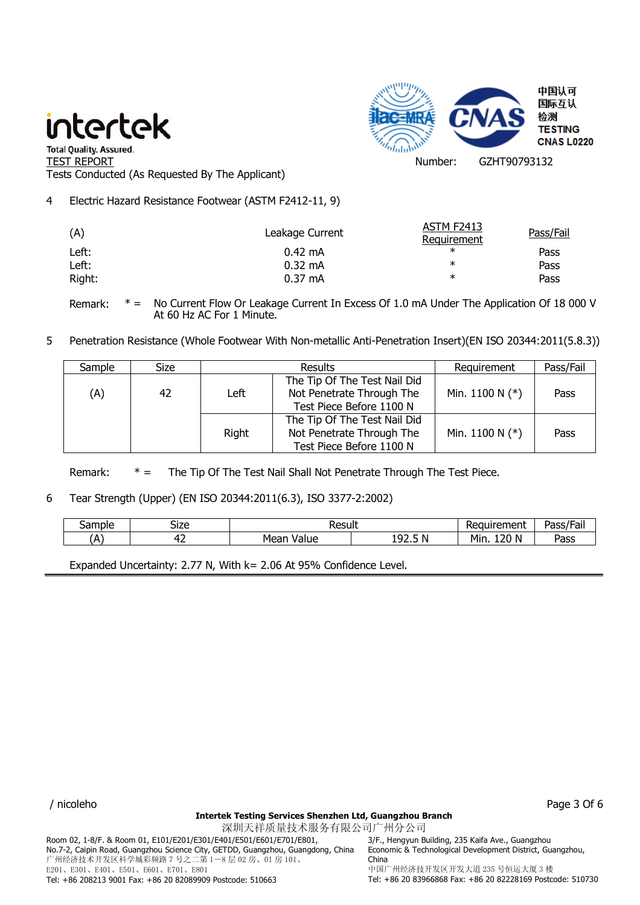

" Total Quality. Assured.<br>TEST REPORT Number: GZHT90793132 Tests Conducted (As Requested By The Applicant)

### 4 Electric Hazard Resistance Footwear (ASTM F2412-11, 9)

| (A)    | Leakage Current   | <b>ASTM F2413</b><br>Requirement | Pass/Fail |
|--------|-------------------|----------------------------------|-----------|
| Left:  | $0.42 \text{ mA}$ | ж                                | Pass      |
| Left:  | $0.32 \text{ mA}$ | ∗                                | Pass      |
| Right: | $0.37 \text{ mA}$ | ∗                                | Pass      |

Remark: \* = No Current Flow Or Leakage Current In Excess Of 1.0 mA Under The Application Of 18 000 V At 60 Hz AC For 1 Minute.

#### 5 Penetration Resistance (Whole Footwear With Non-metallic Anti-Penetration Insert)(EN ISO 20344:2011(5.8.3))

| Sample | Size |       | <b>Results</b>                                                                        | Requirement       | Pass/Fail |
|--------|------|-------|---------------------------------------------------------------------------------------|-------------------|-----------|
| (A)    | 42   | Left  | The Tip Of The Test Nail Did<br>Not Penetrate Through The<br>Test Piece Before 1100 N | Min. 1100 N $(*)$ | Pass      |
|        |      | Right | The Tip Of The Test Nail Did<br>Not Penetrate Through The<br>Test Piece Before 1100 N | Min. 1100 N $(*)$ | Pass      |

Remark: \* = The Tip Of The Test Nail Shall Not Penetrate Through The Test Piece.

6 Tear Strength (Upper) (EN ISO 20344:2011(6.3), ISO 3377-2:2002)

| Sample             | -<br>170<br>אוט   | oou u<br>waa u |             | 'eauirement     | $\overline{\phantom{0}}$<br>. .<br>'Fail<br>1) 2001 L |
|--------------------|-------------------|----------------|-------------|-----------------|-------------------------------------------------------|
| $\mathbf{v}$<br>n. | . .<br>. <u>.</u> | Mear<br>alue ' | $\sim$<br>u | วก<br>Min.<br>N | Pass                                                  |

Expanded Uncertainty: 2.77 N, With k= 2.06 At 95% Confidence Level.

/ nicoleho Page 3 Of 6

### **Intertek Testing Services Shenzhen Ltd, Guangzhou Branch**

深圳天祥质量技术服务有限公司广州分公司 Room 02, 1-8/F. & Room 01, E101/E201/E301/E401/E501/E601/E701/E801, No.7-2, Caipin Road, Guangzhou Science City, GETDD, Guangzhou, Guangdong, China 广州经济技术开发区科学城彩频路 7 号之二第 1-8 层 02 房、01 房 101、 E201、E301、E401、E501、E601、E701、E801 Tel: +86 208213 9001 Fax: +86 20 82089909 Postcode: 510663 China

3/F., Hengyun Building, 235 Kaifa Ave., Guangzhou Economic & Technological Development District, Guangzhou, 中国广州经济技开发区开发大道 235 号恒运大厦 3 楼 Tel: +86 20 83966868 Fax: +86 20 82228169 Postcode: 510730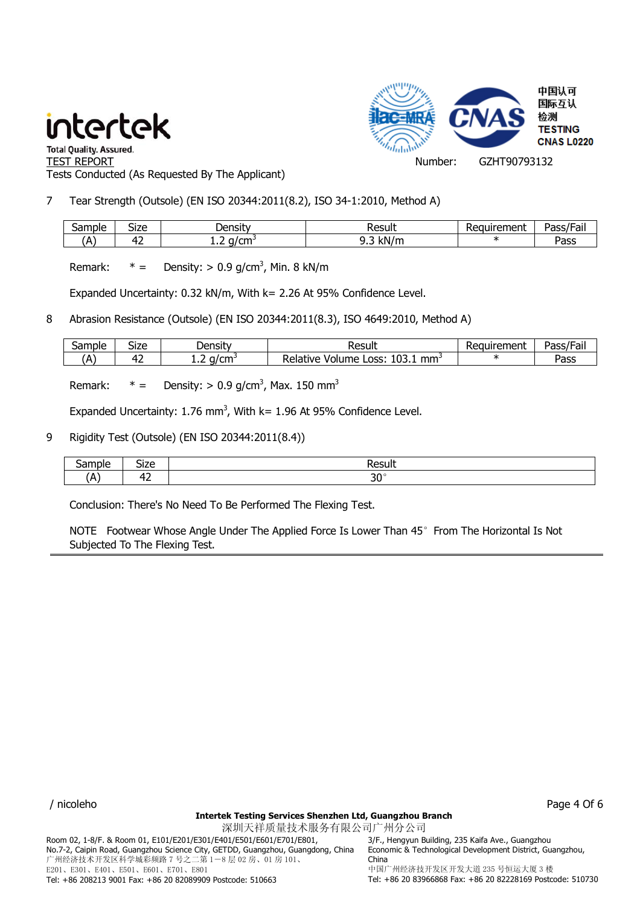

" Total Quality. Assured.<br>TEST REPORT Number: GZHT90793132 Tests Conducted (As Requested By The Applicant)

7 Tear Strength (Outsole) (EN ISO 20344:2011(8.2), ISO 34-1:2010, Method A)

| ample<br><b>Jdll</b> | --<br>$-$<br>- - -<br>しにし | )Ansıtv                                          | Result                                           | ∵ "oment" am<br>нсни | .<br>$\overline{\phantom{0}}$<br>'Fail<br>3222<br>പാാ |
|----------------------|---------------------------|--------------------------------------------------|--------------------------------------------------|----------------------|-------------------------------------------------------|
| Ά                    | . .                       | $I$ <i>rm</i><br>un.<br>. <u>.</u><br>- 1<br>- - | kN.<br>$\overline{\phantom{a}}$<br>N<br><u>.</u> | 灬                    | 3000<br>ass ·                                         |

Remark:  $* =$  Density:  $> 0.9$  g/cm<sup>3</sup>, Min. 8 kN/m

Expanded Uncertainty: 0.32 kN/m, With k= 2.26 At 95% Confidence Level.

8 Abrasion Resistance (Outsole) (EN ISO 20344:2011(8.3), ISO 4649:2010, Method A)

| ample<br>oar | --<br>פרו<br>しにし<br>___ | Densit<br>ы     | 'esult                                                        | uirement<br>-<br>v | $\overline{\phantom{0}}$<br>. .<br>- המר<br>aıı |
|--------------|-------------------------|-----------------|---------------------------------------------------------------|--------------------|-------------------------------------------------|
|              | - -<br>л<br>. .         | ,<br>. <u>.</u> | ىن،<br>mm<br>Loss<br>olume.<br>'atıve<br>ιm<br>v<br>הי<br>. . |                    | ס ב-2<br>้ตวว                                   |

Remark:  $* =$  Density: > 0.9 g/cm<sup>3</sup>, Max. 150 mm<sup>3</sup>

Expanded Uncertainty: 1.76 mm<sup>3</sup>, With  $k=1.96$  At 95% Confidence Level.

9 Rigidity Test (Outsole) (EN ISO 20344:2011(8.4))

| --- | $\sim$     |                    |
|-----|------------|--------------------|
| m   | . .<br>. . | $\mathbf{A}$<br>Ju |

Conclusion: There's No Need To Be Performed The Flexing Test.

NOTE Footwear Whose Angle Under The Applied Force Is Lower Than 45° From The Horizontal Is Not Subjected To The Flexing Test.

/ nicoleho Page 4 Of 6

### **Intertek Testing Services Shenzhen Ltd, Guangzhou Branch**

深圳天祥质量技术服务有限公司广州分公司 Room 02, 1-8/F. & Room 01, E101/E201/E301/E401/E501/E601/E701/E801, No.7-2, Caipin Road, Guangzhou Science City, GETDD, Guangzhou, Guangdong, China 广州经济技术开发区科学城彩频路 7 号之二第 1-8 层 02 房、01 房 101、 E201、E301、E401、E501、E601、E701、E801 Tel: +86 208213 9001 Fax: +86 20 82089909 Postcode: 510663

3/F., Hengyun Building, 235 Kaifa Ave., Guangzhou Economic & Technological Development District, Guangzhou, China 中国广州经济技开发区开发大道 235 号恒运大厦 3 楼 Tel: +86 20 83966868 Fax: +86 20 82228169 Postcode: 510730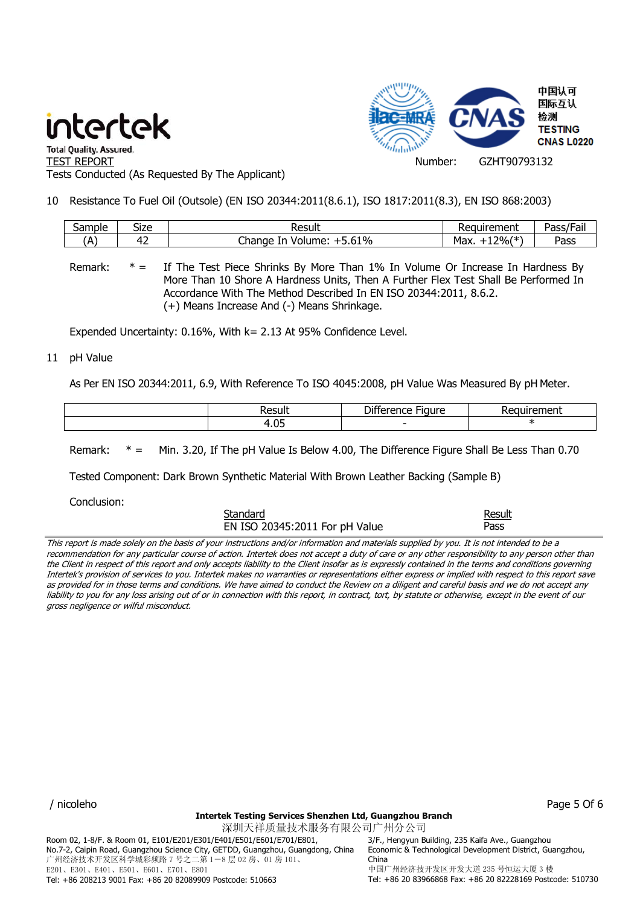

" Total Quality. Assured.<br>TEST REPORT Number: GZHT90793132 Tests Conducted (As Requested By The Applicant)

#### 10 Resistance To Fuel Oil (Outsole) (EN ISO 20344:2011(8.6.1), ISO 1817:2011(8.3), EN ISO 868:2003)

| Sample | $\sim$<br>Size | Result                                     | urement                              | .<br>$\overline{\phantom{0}}$<br>'Fail<br>$\sim$<br>a331 |
|--------|----------------|--------------------------------------------|--------------------------------------|----------------------------------------------------------|
|        | . .            | $-5.61%$<br><b>Change</b><br>Ιn<br>Volume. | $12\%$ (*)<br>Max.<br><b>_</b><br>∸∸ | <sup>o</sup> ass                                         |

Remark:  $* =$  If The Test Piece Shrinks By More Than 1% In Volume Or Increase In Hardness By More Than 10 Shore A Hardness Units, Then A Further Flex Test Shall Be Performed In Accordance With The Method Described In EN ISO 20344:2011, 8.6.2. (+) Means Increase And (-) Means Shrinkage.

Expended Uncertainty: 0.16%, With k= 2.13 At 95% Confidence Level.

#### 11 pH Value

As Per EN ISO 20344:2011, 6.9, With Reference To ISO 4045:2008, pH Value Was Measured By pH Meter.

|        | $\sim$ 100<br>$-$<br>.   | .<br>ำ⊩<br>,,, |
|--------|--------------------------|----------------|
| --<br> | $\overline{\phantom{0}}$ |                |

Remark:  $* =$  Min. 3.20, If The pH Value Is Below 4.00, The Difference Figure Shall Be Less Than 0.70

Tested Component: Dark Brown Synthetic Material With Brown Leather Backing (Sample B)

Conclusion:

| Standard                       | Result |
|--------------------------------|--------|
| EN ISO 20345:2011 For pH Value | Pass   |

This report is made solely on the basis of your instructions and/or information and materials supplied by you. It is not intended to be a recommendation for any particular course of action. Intertek does not accept a duty of care or any other responsibility to any person other than the Client in respect of this report and only accepts liability to the Client insofar as is expressly contained in the terms and conditions governing Intertek's provision of services to you. Intertek makes no warranties or representations either express or implied with respect to this report save as provided for in those terms and conditions. We have aimed to conduct the Review on a diligent and careful basis and we do not accept any liability to you for any loss arising out of or in connection with this report, in contract, tort, by statute or otherwise, except in the event of our gross negligence or wilful misconduct.

#### / nicoleho Page 5 Of 6

#### **Intertek Testing Services Shenzhen Ltd, Guangzhou Branch**

深圳天祥质量技术服务有限公司广州分公司 Room 02, 1-8/F. & Room 01, E101/E201/E301/E401/E501/E601/E701/E801, No.7-2, Caipin Road, Guangzhou Science City, GETDD, Guangzhou, Guangdong, China 广州经济技术开发区科学城彩频路 7 号之二第 1-8 层 02 房、01 房 101、 E201、E301、E401、E501、E601、E701、E801 Tel: +86 208213 9001 Fax: +86 20 82089909 Postcode: 510663

3/F., Hengyun Building, 235 Kaifa Ave., Guangzhou Economic & Technological Development District, Guangzhou, China 中国广州经济技开发区开发大道 235 号恒运大厦 3 楼 Tel: +86 20 83966868 Fax: +86 20 82228169 Postcode: 510730